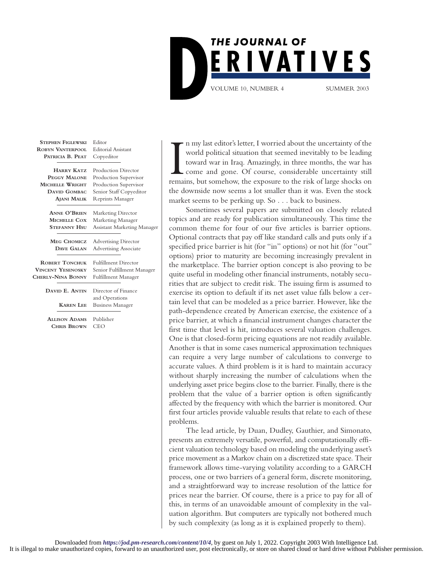

| <b>STEPHEN FIGLEWSKI</b> | Editor                       |
|--------------------------|------------------------------|
| <b>ROBYN VANTERPOOL</b>  | <b>Editorial Assistant</b>   |
| PATRICIA B. PEAT         | Copyeditor                   |
|                          |                              |
| <b>HARRY KATZ</b>        | Production Director          |
| <b>PEGGY MALONE</b>      | Production Supervisor        |
| MICHELLE WRIGHT          | Production Supervisor        |
| <b>DAVID GOMBAC</b>      | Senior Staff Copyeditor      |
| <b>AJANI MALIK</b>       | <b>Reprints Manager</b>      |
|                          |                              |
| <b>ANNE O'BRIEN</b>      | <b>Marketing Director</b>    |
| <b>MICHELLE COX</b>      | Marketing Manager            |
| <b>STEFANNY HSU</b>      | Assistant Marketing Manager  |
|                          |                              |
| <b>MEG CHOMICZ</b>       | <b>Advertising Director</b>  |
| DAVE GALAN               | <b>Advertising Associate</b> |
| <b>ROBERT TONCHUK</b>    | <b>Fulfillment Director</b>  |
| <b>VINCENT YESENOSKY</b> | Senior Fulfillment Manager   |
| CHERLY-NINA BONNY        | Fulfillment Manager          |
|                          |                              |
| DAVID E. ANTIN           | Director of Finance          |
|                          | and Operations               |
| <b>KAREN LEE</b>         | <b>Business Manager</b>      |
|                          |                              |
| <b>ALLISON ADAMS</b>     | Publisher                    |
| <b>CHRIS BROWN</b>       | CEO                          |

In my last editor's letter, I worried about the uncertainty of the world political situation that seemed inevitably to be leading toward war in Iraq. Amazingly, in three months, the war has come and gone. Of course, consid n my last editor's letter, I worried about the uncertainty of the world political situation that seemed inevitably to be leading toward war in Iraq. Amazingly, in three months, the war has come and gone. Of course, considerable uncertainty still the downside now seems a lot smaller than it was. Even the stock market seems to be perking up. So . . . back to business.

Sometimes several papers are submitted on closely related topics and are ready for publication simultaneously. This time the common theme for four of our five articles is barrier options. Optional contracts that pay off like standard calls and puts only if a specified price barrier is hit (for "in" options) or not hit (for "out" options) prior to maturity are becoming increasingly prevalent in the marketplace. The barrier option concept is also proving to be quite useful in modeling other financial instruments, notably securities that are subject to credit risk. The issuing firm is assumed to exercise its option to default if its net asset value falls below a certain level that can be modeled as a price barrier. However, like the path-dependence created by American exercise, the existence of a price barrier, at which a financial instrument changes character the first time that level is hit, introduces several valuation challenges. One is that closed-form pricing equations are not readily available. Another is that in some cases numerical approximation techniques can require a very large number of calculations to converge to accurate values. A third problem is it is hard to maintain accuracy without sharply increasing the number of calculations when the underlying asset price begins close to the barrier. Finally, there is the problem that the value of a barrier option is often significantly affected by the frequency with which the barrier is monitored. Our first four articles provide valuable results that relate to each of these problems.

The lead article, by Duan, Dudley, Gauthier, and Simonato, presents an extremely versatile, powerful, and computationally efficient valuation technology based on modeling the underlying asset's price movement as a Markov chain on a discretized state space. Their framework allows time-varying volatility according to a GARCH process, one or two barriers of a general form, discrete monitoring, and a straightforward way to increase resolution of the lattice for prices near the barrier. Of course, there is a price to pay for all of this, in terms of an unavoidable amount of complexity in the valuation algorithm. But computers are typically not bothered much by such complexity (as long as it is explained properly to them).